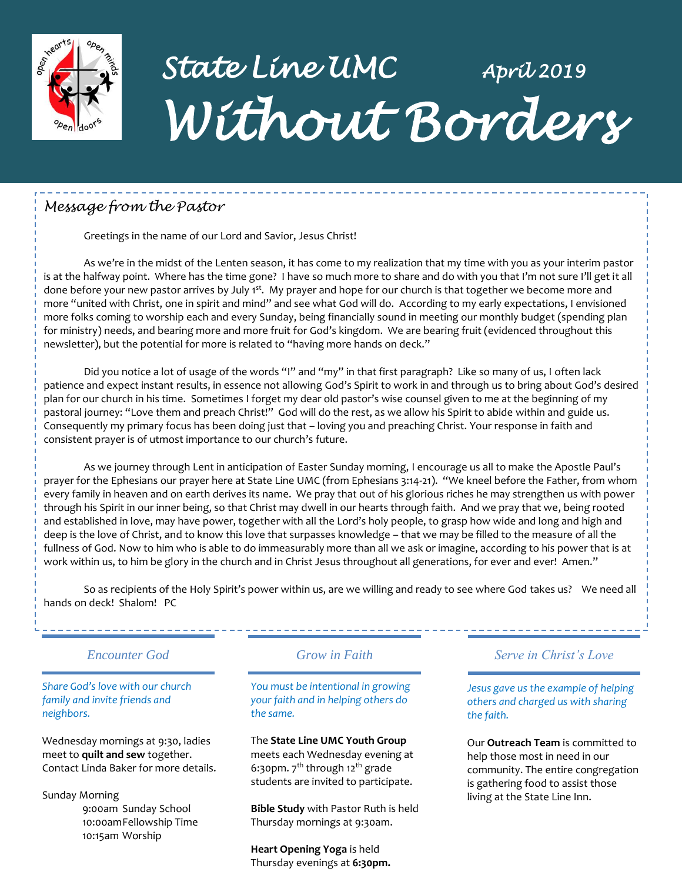

# *State Line UMC April 2019 Without Borders*

### *Message from the Pastor*

Greetings in the name of our Lord and Savior, Jesus Christ!

As we're in the midst of the Lenten season, it has come to my realization that my time with you as your interim pastor is at the halfway point. Where has the time gone? I have so much more to share and do with you that I'm not sure I'll get it all done before your new pastor arrives by July 1<sup>st</sup>. My prayer and hope for our church is that together we become more and more "united with Christ, one in spirit and mind" and see what God will do. According to my early expectations, I envisioned more folks coming to worship each and every Sunday, being financially sound in meeting our monthly budget (spending plan for ministry) needs, and bearing more and more fruit for God's kingdom. We are bearing fruit (evidenced throughout this newsletter), but the potential for more is related to "having more hands on deck."

Did you notice a lot of usage of the words "I" and "my" in that first paragraph? Like so many of us, I often lack patience and expect instant results, in essence not allowing God's Spirit to work in and through us to bring about God's desired plan for our church in his time. Sometimes I forget my dear old pastor's wise counsel given to me at the beginning of my pastoral journey: "Love them and preach Christ!" God will do the rest, as we allow his Spirit to abide within and guide us. Consequently my primary focus has been doing just that – loving you and preaching Christ. Your response in faith and consistent prayer is of utmost importance to our church's future.

As we journey through Lent in anticipation of Easter Sunday morning, I encourage us all to make the Apostle Paul's prayer for the Ephesians our prayer here at State Line UMC (from Ephesians 3:14-21). "We kneel before the Father, from whom every family in heaven and on earth derives its name. We pray that out of his glorious riches he may strengthen us with power through his Spirit in our inner being, so that Christ may dwell in our hearts through faith. And we pray that we, being rooted and established in love, may have power, together with all the Lord's holy people, to grasp how wide and long and high and deep is the love of Christ, and to know this love that surpasses knowledge – that we may be filled to the measure of all the fullness of God. Now to him who is able to do immeasurably more than all we ask or imagine, according to his power that is at work within us, to him be glory in the church and in Christ Jesus throughout all generations, for ever and ever! Amen."

So as recipients of the Holy Spirit's power within us, are we willing and ready to see where God takes us? We need all hands on deck! Shalom! PC

#### *Encounter God Grow in Faith*

#### *Share God's love with our church family and invite friends and neighbors.*

Wednesday mornings at 9:30, ladies meet to **quilt and sew** together. Contact Linda Baker for more details.

Sunday Morning 9:00am Sunday School 10:00amFellowship Time 10:15am Worship

*You must be intentional in growing your faith and in helping others do the same.*

#### The **State Line UMC Youth Group**

meets each Wednesday evening at 6:30pm.  $7<sup>th</sup>$  through 12<sup>th</sup> grade students are invited to participate.

**Bible Study** with Pastor Ruth is held Thursday mornings at 9:30am.

**Heart Opening Yoga** is held Thursday evenings at **6:30pm.**

#### *Serve in Christ's Love*

----------------------

*Jesus gave us the example of helping others and charged us with sharing the faith.*

Our **Outreach Team** is committed to help those most in need in our community. The entire congregation is gathering food to assist those living at the State Line Inn.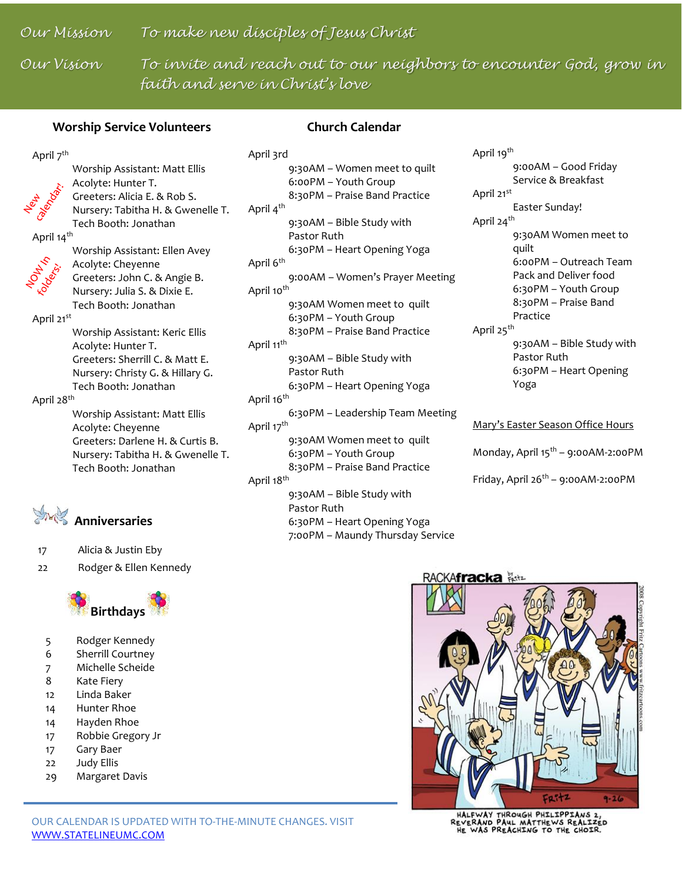### *Our Mission To make new disciples of Jesus Christ*

*Our Vision To invite and reach out to our neighbors to encounter God, grow in faith and serve in Christ's love*

#### **Worship Service Volunteers**

#### **Church Calendar**

#### April 7<sup>th</sup>



Worship Assistant: Matt Ellis Acolyte: Hunter T. Greeters: Alicia E. & Rob S. Nursery: Tabitha H. & Gwenelle T. Tech Booth: Jonathan

April 14<sup>th</sup>



Worship Assistant: Ellen Avey Acolyte: Cheyenne Greeters: John C. & Angie B. Nursery: Julia S. & Dixie E. Tech Booth: Jonathan

April 21st

Worship Assistant: Keric Ellis Acolyte: Hunter T. Greeters: Sherrill C. & Matt E. Nursery: Christy G. & Hillary G. Tech Booth: Jonathan

April 28th

Worship Assistant: Matt Ellis Acolyte: Cheyenne Greeters: Darlene H. & Curtis B. Nursery: Tabitha H. & Gwenelle T. Tech Booth: Jonathan



17 Alicia & Justin Eby

22 Rodger & Ellen Kennedy



- 5 Rodger Kennedy
- 6 Sherrill Courtney
- 7 Michelle Scheide
- 8 Kate Fiery
- 12 Linda Baker
- 14 Hunter Rhoe
- 14 Hayden Rhoe
- 17 Robbie Gregory Jr
- 17 Gary Baer
- 22 Judy Ellis
- 29 Margaret Davis

April 3rd 9:30AM – Women meet to quilt 6:00PM – Youth Group 8:30PM – Praise Band Practice April 4<sup>th</sup> 9:30AM – Bible Study with Pastor Ruth 6:30PM – Heart Opening Yoga April 6<sup>th</sup> 9:00AM – Women's Prayer Meeting April 10<sup>th</sup> 9:30AM Women meet to quilt 6:30PM – Youth Group 8:30PM – Praise Band Practice April 11<sup>th</sup> 9:30AM – Bible Study with Pastor Ruth 6:30PM – Heart Opening Yoga April 16<sup>th</sup> 6:30PM – Leadership Team Meeting April 17<sup>th</sup> 9:30AM Women meet to quilt 6:30PM – Youth Group 8:30PM – Praise Band Practice April 18<sup>th</sup> 9:30AM – Bible Study with Pastor Ruth

6:30PM – Heart Opening Yoga 7:00PM – Maundy Thursday Service

April 19<sup>th</sup> 9:00AM – Good Friday Service & Breakfast April 21st Easter Sunday! April 24<sup>th</sup> 9:30AM Women meet to quilt 6:00PM – Outreach Team Pack and Deliver food 6:30PM – Youth Group 8:30PM – Praise Band Practice April 25<sup>th</sup> 9:30AM – Bible Study with Pastor Ruth 6:30PM – Heart Opening Yoga

#### Mary's Easter Season Office Hours

Monday, April 15<sup>th</sup> - 9:00AM-2:00PM

Friday, April  $26^{th}$  – 9:00AM-2:00PM



HALFWAY THROUGH PHILIPPIANS 2,<br>REVERAND PAUL MATTHEWS REALIZED<br>HE WAS PREACHING TO THE CHOIR.

#### OUR CALENDAR IS UPDATED WITH TO-THE-MINUTE CHANGES. VISIT [WWW.STATELINEUMC.COM](http://www.statelineumc.com/)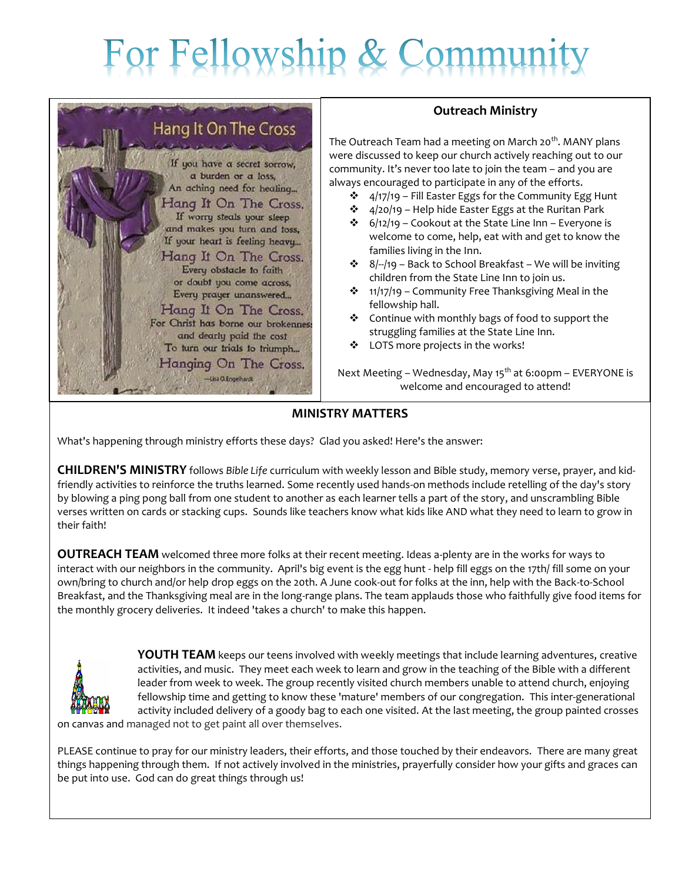# For Fellowship & Commu



#### **Outreach Ministry**

The Outreach Team had a meeting on March 20<sup>th</sup>. MANY plans were discussed to keep our church actively reaching out to our community. It's never too late to join the team – and you are always encouraged to participate in any of the efforts.

- $\div$  4/17/19 Fill Easter Eggs for the Community Egg Hunt
- $\div$  4/20/19 Help hide Easter Eggs at the Ruritan Park
- $\div$  6/12/19 Cookout at the State Line Inn Everyone is welcome to come, help, eat with and get to know the families living in the Inn.
- $\div$  8/--/19 Back to School Breakfast We will be inviting children from the State Line Inn to join us.
- $\cdot$  11/17/19 Community Free Thanksgiving Meal in the fellowship hall.
- Continue with monthly bags of food to support the struggling families at the State Line Inn.
- \* LOTS more projects in the works!

Next Meeting – Wednesday, May  $15<sup>th</sup>$  at 6:00pm – EVERYONE is welcome and encouraged to attend!

#### **MINISTRY MATTERS**

What's happening through ministry efforts these days? Glad you asked! Here's the answer:

**CHILDREN'S MINISTRY** follows *Bible Life* curriculum with weekly lesson and Bible study, memory verse, prayer, and kidfriendly activities to reinforce the truths learned. Some recently used hands-on methods include retelling of the day's story by blowing a ping pong ball from one student to another as each learner tells a part of the story, and unscrambling Bible verses written on cards or stacking cups. Sounds like teachers know what kids like AND what they need to learn to grow in their faith!

**OUTREACH TEAM** welcomed three more folks at their recent meeting. Ideas a-plenty are in the works for ways to interact with our neighbors in the community. April's big event is the egg hunt - help fill eggs on the 17th/ fill some on your own/bring to church and/or help drop eggs on the 20th. A June cook-out for folks at the inn, help with the Back-to-School Breakfast, and the Thanksgiving meal are in the long-range plans. The team applauds those who faithfully give food items for the monthly grocery deliveries. It indeed 'takes a church' to make this happen.



**YOUTH TEAM** keeps our teens involved with weekly meetings that include learning adventures, creative activities, and music. They meet each week to learn and grow in the teaching of the Bible with a different leader from week to week. The group recently visited church members unable to attend church, enjoying fellowship time and getting to know these 'mature' members of our congregation. This inter-generational activity included delivery of a goody bag to each one visited. At the last meeting, the group painted crosses

on canvas and managed not to get paint all over themselves.

PLEASE continue to pray for our ministry leaders, their efforts, and those touched by their endeavors. There are many great things happening through them. If not actively involved in the ministries, prayerfully consider how your gifts and graces can be put into use. God can do great things through us!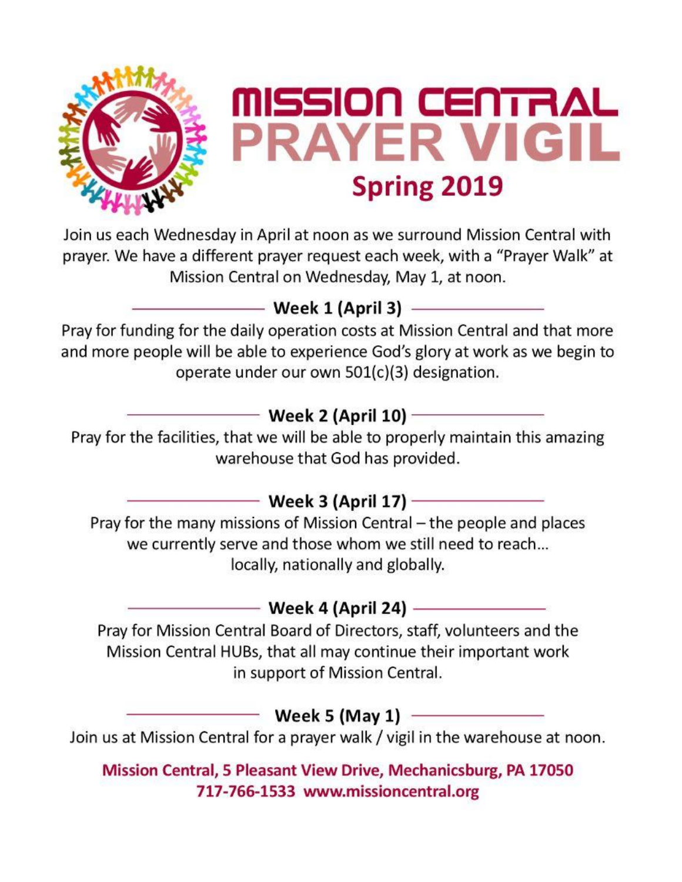

Join us each Wednesday in April at noon as we surround Mission Central with prayer. We have a different prayer request each week, with a "Prayer Walk" at Mission Central on Wednesday, May 1, at noon.

## — Week 1 (April 3) —————

Pray for funding for the daily operation costs at Mission Central and that more and more people will be able to experience God's glory at work as we begin to operate under our own 501(c)(3) designation.

## — Week 2 (April 10) ————

Pray for the facilities, that we will be able to properly maintain this amazing warehouse that God has provided.

## - Week 3 (April 17) ———————

Pray for the many missions of Mission Central - the people and places we currently serve and those whom we still need to reach... locally, nationally and globally.

## —— Week 4 (April 24) ——————

Pray for Mission Central Board of Directors, staff, volunteers and the Mission Central HUBs, that all may continue their important work in support of Mission Central.

## $-$  Week 5 (May 1)  $-$

Join us at Mission Central for a prayer walk / vigil in the warehouse at noon.

Mission Central, 5 Pleasant View Drive, Mechanicsburg, PA 17050 717-766-1533 www.missioncentral.org